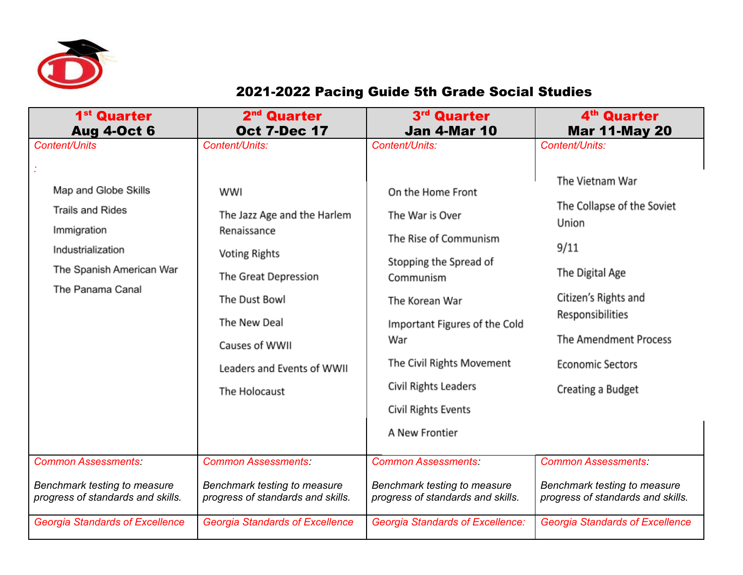

## 2021-2022 Pacing Guide 5th Grade Social Studies

| 1 <sup>st</sup> Quarter                                                                                                                                                                   | 2 <sup>nd</sup> Quarter                                                                                                                                                                                                                             | 3 <sup>rd</sup> Quarter                                                                                                                                                                                                                                                                                      | 4 <sup>th</sup> Quarter                                                                                                                                                                                                                                |
|-------------------------------------------------------------------------------------------------------------------------------------------------------------------------------------------|-----------------------------------------------------------------------------------------------------------------------------------------------------------------------------------------------------------------------------------------------------|--------------------------------------------------------------------------------------------------------------------------------------------------------------------------------------------------------------------------------------------------------------------------------------------------------------|--------------------------------------------------------------------------------------------------------------------------------------------------------------------------------------------------------------------------------------------------------|
| <b>Aug 4-Oct 6</b>                                                                                                                                                                        | <b>Oct 7-Dec 17</b>                                                                                                                                                                                                                                 | <b>Jan 4-Mar 10</b>                                                                                                                                                                                                                                                                                          | <b>Mar 11-May 20</b>                                                                                                                                                                                                                                   |
| <b>Content/Units</b><br>Map and Globe Skills<br><b>Trails and Rides</b><br>Immigration<br>Industrialization<br>The Spanish American War<br>The Panama Canal<br><b>Common Assessments:</b> | Content/Units:<br>WWI<br>The Jazz Age and the Harlem<br>Renaissance<br><b>Voting Rights</b><br>The Great Depression<br>The Dust Bowl<br>The New Deal<br>Causes of WWII<br>Leaders and Events of WWII<br>The Holocaust<br><b>Common Assessments:</b> | Content/Units:<br>On the Home Front<br>The War is Over<br>The Rise of Communism<br>Stopping the Spread of<br>Communism<br>The Korean War<br>Important Figures of the Cold<br>War<br>The Civil Rights Movement<br>Civil Rights Leaders<br>Civil Rights Events<br>A New Frontier<br><b>Common Assessments:</b> | Content/Units:<br>The Vietnam War<br>The Collapse of the Soviet<br>Union<br>9/11<br>The Digital Age<br>Citizen's Rights and<br>Responsibilities<br>The Amendment Process<br><b>Economic Sectors</b><br>Creating a Budget<br><b>Common Assessments:</b> |
| Benchmark testing to measure                                                                                                                                                              | Benchmark testing to measure                                                                                                                                                                                                                        | Benchmark testing to measure                                                                                                                                                                                                                                                                                 | Benchmark testing to measure                                                                                                                                                                                                                           |
| progress of standards and skills.                                                                                                                                                         | progress of standards and skills.                                                                                                                                                                                                                   | progress of standards and skills.                                                                                                                                                                                                                                                                            | progress of standards and skills.                                                                                                                                                                                                                      |
| <b>Georgia Standards of Excellence</b>                                                                                                                                                    | <b>Georgia Standards of Excellence</b>                                                                                                                                                                                                              | <b>Georgia Standards of Excellence:</b>                                                                                                                                                                                                                                                                      | <b>Georgia Standards of Excellence</b>                                                                                                                                                                                                                 |